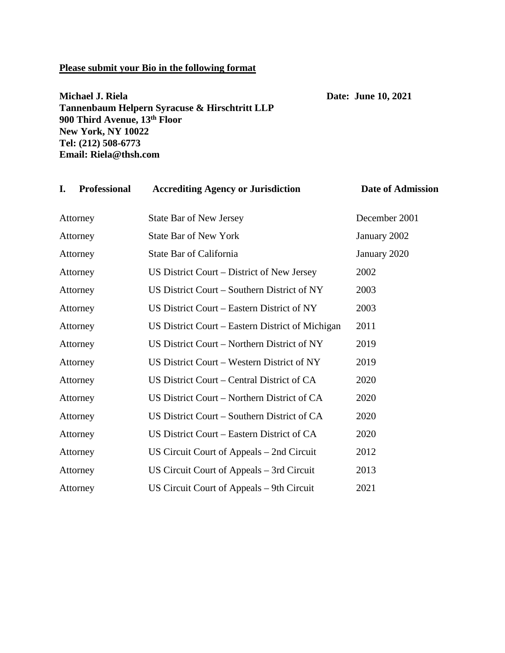#### **Please submit your Bio in the following format**

# **Michael J. Riela Date: June 10, 2021 Tannenbaum Helpern Syracuse & Hirschtritt LLP 900 Third Avenue, 13th Floor New York, NY 10022 Tel: (212) 508-6773 Email: Riela@thsh.com**

| <b>Professional</b><br>I. | <b>Accrediting Agency or Jurisdiction</b>        | <b>Date of Admission</b> |
|---------------------------|--------------------------------------------------|--------------------------|
| Attorney                  | <b>State Bar of New Jersey</b>                   | December 2001            |
| Attorney                  | <b>State Bar of New York</b>                     | January 2002             |
| Attorney                  | State Bar of California                          | January 2020             |
| Attorney                  | US District Court – District of New Jersey       | 2002                     |
| Attorney                  | US District Court - Southern District of NY      | 2003                     |
| Attorney                  | US District Court – Eastern District of NY       | 2003                     |
| Attorney                  | US District Court – Eastern District of Michigan | 2011                     |
| Attorney                  | US District Court - Northern District of NY      | 2019                     |
| Attorney                  | US District Court – Western District of NY       | 2019                     |
| Attorney                  | US District Court – Central District of CA       | 2020                     |
| Attorney                  | US District Court – Northern District of CA      | 2020                     |
| Attorney                  | US District Court – Southern District of CA      | 2020                     |
| Attorney                  | US District Court – Eastern District of CA       | 2020                     |
| Attorney                  | US Circuit Court of Appeals – 2nd Circuit        | 2012                     |
| Attorney                  | US Circuit Court of Appeals – 3rd Circuit        | 2013                     |
| Attorney                  | US Circuit Court of Appeals – 9th Circuit        | 2021                     |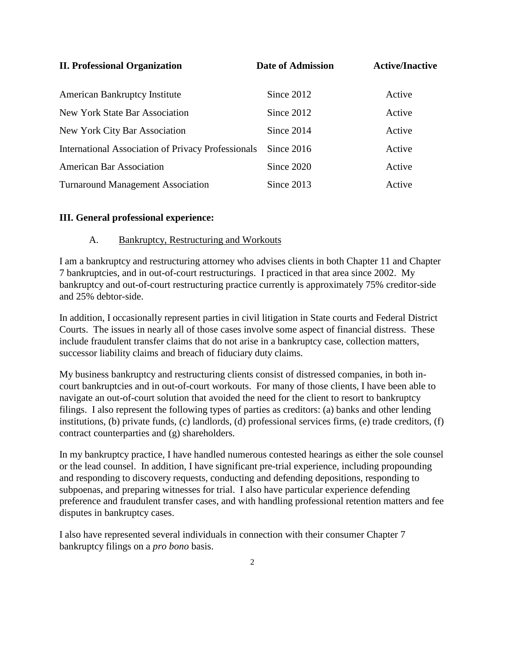| <b>II. Professional Organization</b>               | Date of Admission | <b>Active/Inactive</b> |  |
|----------------------------------------------------|-------------------|------------------------|--|
| <b>American Bankruptcy Institute</b>               | Since 2012        | Active                 |  |
| New York State Bar Association                     | Since 2012        | Active                 |  |
| New York City Bar Association                      | Since 2014        | Active                 |  |
| International Association of Privacy Professionals | Since 2016        | Active                 |  |
| <b>American Bar Association</b>                    | Since 2020        | Active                 |  |
| <b>Turnaround Management Association</b>           | Since 2013        | Active                 |  |

#### **III. General professional experience:**

#### A. Bankruptcy, Restructuring and Workouts

I am a bankruptcy and restructuring attorney who advises clients in both Chapter 11 and Chapter 7 bankruptcies, and in out-of-court restructurings. I practiced in that area since 2002. My bankruptcy and out-of-court restructuring practice currently is approximately 75% creditor-side and 25% debtor-side.

In addition, I occasionally represent parties in civil litigation in State courts and Federal District Courts. The issues in nearly all of those cases involve some aspect of financial distress. These include fraudulent transfer claims that do not arise in a bankruptcy case, collection matters, successor liability claims and breach of fiduciary duty claims.

My business bankruptcy and restructuring clients consist of distressed companies, in both incourt bankruptcies and in out-of-court workouts. For many of those clients, I have been able to navigate an out-of-court solution that avoided the need for the client to resort to bankruptcy filings. I also represent the following types of parties as creditors: (a) banks and other lending institutions, (b) private funds, (c) landlords, (d) professional services firms, (e) trade creditors, (f) contract counterparties and (g) shareholders.

In my bankruptcy practice, I have handled numerous contested hearings as either the sole counsel or the lead counsel. In addition, I have significant pre-trial experience, including propounding and responding to discovery requests, conducting and defending depositions, responding to subpoenas, and preparing witnesses for trial. I also have particular experience defending preference and fraudulent transfer cases, and with handling professional retention matters and fee disputes in bankruptcy cases.

I also have represented several individuals in connection with their consumer Chapter 7 bankruptcy filings on a *pro bono* basis.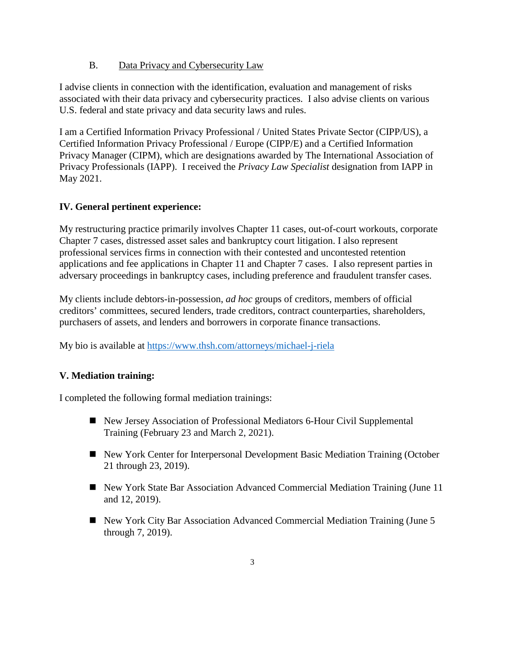# B. Data Privacy and Cybersecurity Law

I advise clients in connection with the identification, evaluation and management of risks associated with their data privacy and cybersecurity practices. I also advise clients on various U.S. federal and state privacy and data security laws and rules.

I am a Certified Information Privacy Professional / United States Private Sector (CIPP/US), a Certified Information Privacy Professional / Europe (CIPP/E) and a Certified Information Privacy Manager (CIPM), which are designations awarded by The International Association of Privacy Professionals (IAPP). I received the *Privacy Law Specialist* designation from IAPP in May 2021.

# **IV. General pertinent experience:**

My restructuring practice primarily involves Chapter 11 cases, out-of-court workouts, corporate Chapter 7 cases, distressed asset sales and bankruptcy court litigation. I also represent professional services firms in connection with their contested and uncontested retention applications and fee applications in Chapter 11 and Chapter 7 cases. I also represent parties in adversary proceedings in bankruptcy cases, including preference and fraudulent transfer cases.

My clients include debtors-in-possession, *ad hoc* groups of creditors, members of official creditors' committees, secured lenders, trade creditors, contract counterparties, shareholders, purchasers of assets, and lenders and borrowers in corporate finance transactions.

My bio is available at<https://www.thsh.com/attorneys/michael-j-riela>

# **V. Mediation training:**

I completed the following formal mediation trainings:

- New Jersey Association of Professional Mediators 6-Hour Civil Supplemental Training (February 23 and March 2, 2021).
- New York Center for Interpersonal Development Basic Mediation Training (October 21 through 23, 2019).
- New York State Bar Association Advanced Commercial Mediation Training (June 11 and 12, 2019).
- New York City Bar Association Advanced Commercial Mediation Training (June 5 through 7, 2019).